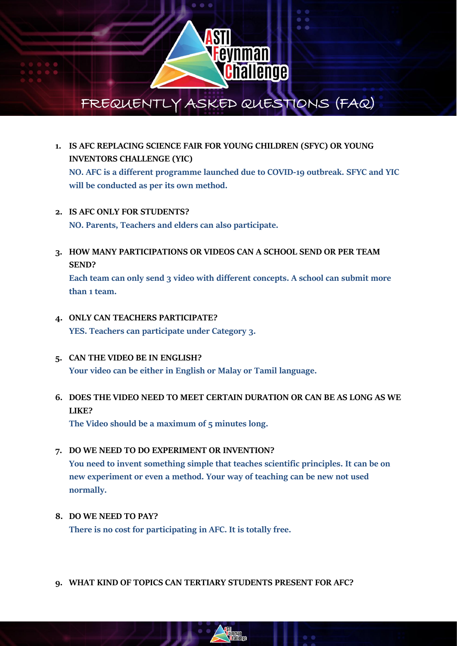

- **1. IS AFC REPLACING SCIENCE FAIR FOR YOUNG CHILDREN (SFYC) OR YOUNG INVENTORS CHALLENGE (YIC) NO. AFC is a different programme launched due to COVID-19 outbreak. SFYC and YIC will be conducted as per its own method.**
- **2. IS AFC ONLY FOR STUDENTS? NO. Parents, Teachers and elders can also participate.**
- **3. HOW MANY PARTICIPATIONS OR VIDEOS CAN A SCHOOL SEND OR PER TEAM SEND?**

**Each team can only send 3 video with different concepts. A school can submit more than 1 team.**

- **4. ONLY CAN TEACHERS PARTICIPATE? YES. Teachers can participate under Category 3.**
- **5. CAN THE VIDEO BE IN ENGLISH? Your video can be either in English or Malay or Tamil language.**

# **6. DOES THE VIDEO NEED TO MEET CERTAIN DURATION OR CAN BE AS LONG AS WE LIKE?**

**The Video should be a maximum of 5 minutes long.**

- **7. DO WE NEED TO DO EXPERIMENT OR INVENTION? You need to invent something simple that teaches scientific principles. It can be on new experiment or even a method. Your way of teaching can be new not used normally.**
- **8. DO WE NEED TO PAY? There is no cost for participating in AFC. It is totally free.**
- **9. WHAT KIND OF TOPICS CAN TERTIARY STUDENTS PRESENT FOR AFC?**